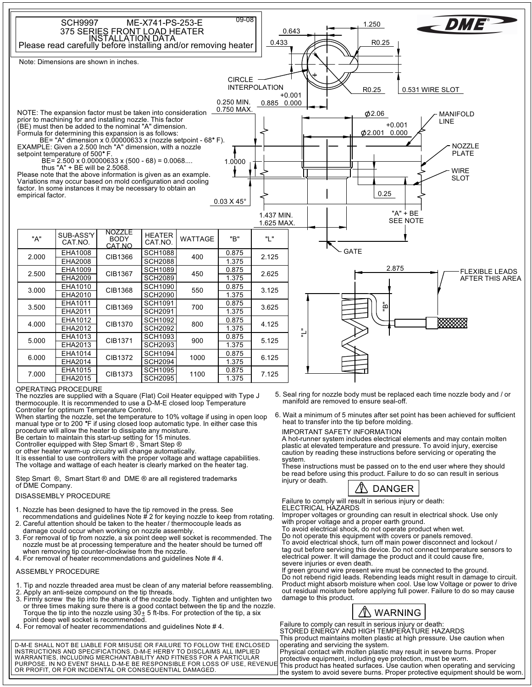

### OPERATING PROCEDURE

The nozzles are supplied with a Square (Flat) Coil Heater equipped with Type J thermocouple. It is recommended to use a D-M-E closed loop Temperature Controller for optimum Temperature Control.

When starting the nozzle, set the temperature to 10% voltage if using in open loop manual type or to 200 °F if using closed loop automatic type. In either case this

procedure will allow the heater to dissipate any moisture. Be certain to maintain this start-up setting for 15 minutes. Controller equipped with Step Smart ® , Smart Step ®

or other heater warm-up circuitry will change automatically.

It is essential to use controllers with the proper voltage and wattage capabilities. The voltage and wattage of each heater is clearly marked on the heater tag.

Step Smart ®, Smart Start ® and DME ® are all registered trademarks of DME Company.

## DISASSEMBLY PROCEDURE

- 1. Nozzle has been designed to have the tip removed in the press. See recommendations and guidelines Note # 2 for keying nozzle to keep from rotating.
- 2. Careful attention should be taken to the heater / thermocouple leads as
- damage could occur when working on nozzle assembly. 3. For removal of tip from nozzle, a six point deep well socket is recommended. The
- nozzle must be at processing temperature and the heater should be turned off when removing tip counter-clockwise from the nozzle. 4. For removal of heater recommendations and guidelines Note # 4.

## ASSEMBLY PROCEDURE

- . Tip and nozzle threaded area must be clean of any material before reassembling.
- 2. Apply an anti-seize compound on the tip threads.
- Torque the tip into the nozzle using 30 $\pm$  5 ft-lbs. For protection of the tip, a six 3. Firmly screw the tip into the shank of the nozzle body. Tighten and untighten two or three times making sure there is a good contact between the tip and the nozzle.
- point deep well socket is recommended.<br>4. For removal of heater recommendations and guidelines Note # 4.

D-M-E SHALL NOT BE LIABLE FOR MISUSE OR FAILURE TO FOLLOW THE ENCLOSED<br>INSTRUCTIONS AND SPECIFICATIONS. D-M-E HERBY TO DISCLAIMS ALL IMPLIED<br>WARRANTIES, INCLUDING MERCHANTABILITY AND FITNESS FOR A PARTICULAR PURPOSE. IN NO EVENT SHALL D-M-E BE RESPONSIBLE FOR LOSS OF USE, REVENUE OR PROFIT, OR FOR INCIDENTAL OR CONSEQUENTIAL DAMAGED.

- manifold are removed to ensure seal-off. 5. Seal ring for nozzle body must be replaced each time nozzle body and / or
- 6. Wait a minimum of 5 minutes after set point has been achieved for sufficient<br>heat to transfer into the tip before molding.

### IMPORTANT SAFETY INFORMATION

A hot-runner system includes electrical elements and may contain molten plastic at elevated temperature and pressure. To avoid injury, exercise caution by reading these instructions before servicing or operating the system.

These instructions must be passed on to the end user where they should be read before using this product. Failure to do so can result in serious iniury or death.

# **△ DANGER**

Failure to comply will result in serious injury or death: ELECTRICAL HAZARDS

Improper voltages or grounding can result in electrical shock. Use only with proper voltage and a proper earth ground.

To avoid electrical shock, do not operate product when wet.

Do not operate this equipment with covers or panels removed. To avoid electrical shock, turn off main power disconnect and lockout / tag out before servicing this device. Do not connect temperature sensors to electrical power. It will damage the product and it could cause fire, severe injuries or even death.

If green ground wire present wire must be connected to the ground. Do not rebend rigid leads. Rebending leads might result in damage to circuit. Product might absorb moisture when cool. Use low Voltage or power to drive out residual moisture before applying full power. Failure to do so may cause damage to this product.



Failure to comply can result in serious injury or death: STORED ENERGY AND HIGH TEMPERATURE HAZARDS This product maintains molten plastic at high pressure. Use caution when operating and servicing the system.

Physical contact with molten plastic may result in severe burns. Proper protective equipment, including eye protection, must be worn.

This product has heated surfaces. Use caution when operating and servicing the system to avoid severe burns. Proper protective equipment should be worn.